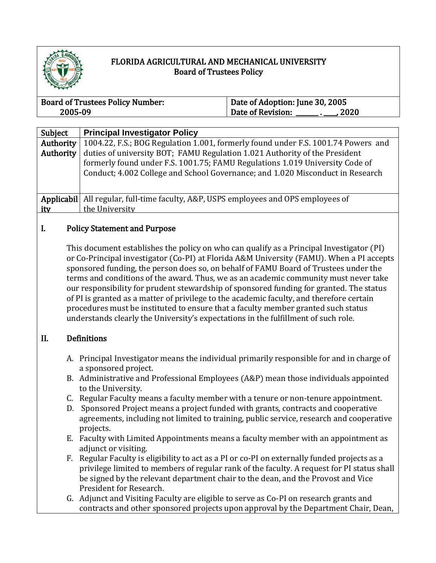

# FLORIDA AGRICULTURAL AND MECHANICAL UNIVERSITY Board of Trustees Policy

| <b>Board of Trustees Policy Number:</b> | Date of Adoption: June 30, 2005 |  |
|-----------------------------------------|---------------------------------|--|
| 2005-09                                 | Date of Revision:<br>. 2020     |  |

| Subject    | <b>Principal Investigator Policy</b>                                              |
|------------|-----------------------------------------------------------------------------------|
| Authority  | 1004.22, F.S.; BOG Regulation 1.001, formerly found under F.S. 1001.74 Powers and |
| Authority  | duties of university BOT; FAMU Regulation 1.021 Authority of the President        |
|            | formerly found under F.S. 1001.75; FAMU Regulations 1.019 University Code of      |
|            | Conduct; 4.002 College and School Governance; and 1.020 Misconduct in Research    |
|            |                                                                                   |
|            |                                                                                   |
| Applicabil | All regular, full-time faculty, A&P, USPS employees and OPS employees of          |
| ity        | the University                                                                    |
|            |                                                                                   |

## I. Policy Statement and Purpose

This document establishes the policy on who can qualify as a Principal Investigator (PI) or Co-Principal investigator (Co-PI) at Florida A&M University (FAMU). When a PI accepts sponsored funding, the person does so, on behalf of FAMU Board of Trustees under the terms and conditions of the award. Thus, we as an academic community must never take our responsibility for prudent stewardship of sponsored funding for granted. The status of PI is granted as a matter of privilege to the academic faculty, and therefore certain procedures must be instituted to ensure that a faculty member granted such status understands clearly the University's expectations in the fulfillment of such role.

## II. Definitions

- A. Principal Investigator means the individual primarily responsible for and in charge of a sponsored project.
- B. Administrative and Professional Employees (A&P) mean those individuals appointed to the University.
- C. Regular Faculty means a faculty member with a tenure or non-tenure appointment.
- D. Sponsored Project means a project funded with grants, contracts and cooperative agreements, including not limited to training, public service, research and cooperative projects.
- E. Faculty with Limited Appointments means a faculty member with an appointment as adjunct or visiting.
- F. Regular Faculty is eligibility to act as a PI or co-PI on externally funded projects as a privilege limited to members of regular rank of the faculty. A request for PI status shall be signed by the relevant department chair to the dean, and the Provost and Vice President for Research.
- G. Adjunct and Visiting Faculty are eligible to serve as Co-PI on research grants and contracts and other sponsored projects upon approval by the Department Chair, Dean,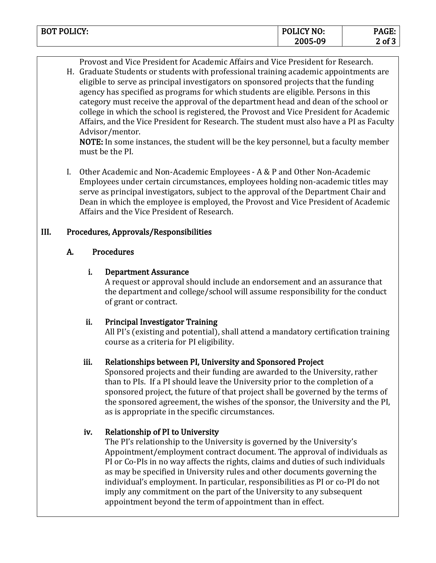| <b>BOT POLICY:</b> | POLICY NO: | <u> та</u><br>. AGE: |
|--------------------|------------|----------------------|
|                    | 2005-09    | $2$ of $\degree$     |

Provost and Vice President for Academic Affairs and Vice President for Research.

H. Graduate Students or students with professional training academic appointments are eligible to serve as principal investigators on sponsored projects that the funding agency has specified as programs for which students are eligible. Persons in this category must receive the approval of the department head and dean of the school or college in which the school is registered, the Provost and Vice President for Academic Affairs, and the Vice President for Research. The student must also have a PI as Faculty Advisor/mentor.

NOTE: In some instances, the student will be the key personnel, but a faculty member must be the PI.

I. Other Academic and Non-Academic Employees - A & P and Other Non-Academic Employees under certain circumstances, employees holding non-academic titles may serve as principal investigators, subject to the approval of the Department Chair and Dean in which the employee is employed, the Provost and Vice President of Academic Affairs and the Vice President of Research.

#### III. Procedures, Approvals/Responsibilities

#### A. Procedures

#### i. Department Assurance

A request or approval should include an endorsement and an assurance that the department and college/school will assume responsibility for the conduct of grant or contract.

## ii. Principal Investigator Training

All PI's (existing and potential), shall attend a mandatory certification training course as a criteria for PI eligibility.

## iii. Relationships between PI, University and Sponsored Project

Sponsored projects and their funding are awarded to the University, rather than to PIs. If a PI should leave the University prior to the completion of a sponsored project, the future of that project shall be governed by the terms of the sponsored agreement, the wishes of the sponsor, the University and the PI, as is appropriate in the specific circumstances.

## iv. Relationship of PI to University

The PI's relationship to the University is governed by the University's Appointment/employment contract document. The approval of individuals as PI or Co-PIs in no way affects the rights, claims and duties of such individuals as may be specified in University rules and other documents governing the individual's employment. In particular, responsibilities as PI or co-PI do not imply any commitment on the part of the University to any subsequent appointment beyond the term of appointment than in effect.